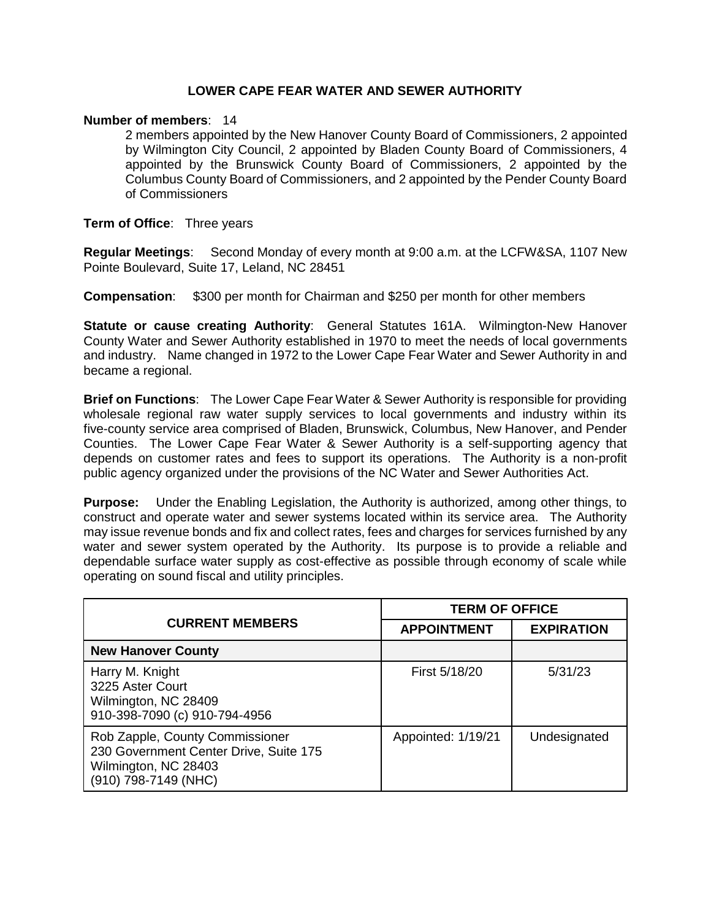### **LOWER CAPE FEAR WATER AND SEWER AUTHORITY**

#### **Number of members**: 14

2 members appointed by the New Hanover County Board of Commissioners, 2 appointed by Wilmington City Council, 2 appointed by Bladen County Board of Commissioners, 4 appointed by the Brunswick County Board of Commissioners, 2 appointed by the Columbus County Board of Commissioners, and 2 appointed by the Pender County Board of Commissioners

#### **Term of Office**: Three years

**Regular Meetings**: Second Monday of every month at 9:00 a.m. at the LCFW&SA, 1107 New Pointe Boulevard, Suite 17, Leland, NC 28451

**Compensation**: \$300 per month for Chairman and \$250 per month for other members

**Statute or cause creating Authority**: General Statutes 161A. Wilmington-New Hanover County Water and Sewer Authority established in 1970 to meet the needs of local governments and industry. Name changed in 1972 to the Lower Cape Fear Water and Sewer Authority in and became a regional.

**Brief on Functions**: The Lower Cape Fear Water & Sewer Authority is responsible for providing wholesale regional raw water supply services to local governments and industry within its five-county service area comprised of Bladen, Brunswick, Columbus, New Hanover, and Pender Counties. The Lower Cape Fear Water & Sewer Authority is a self-supporting agency that depends on customer rates and fees to support its operations. The Authority is a non-profit public agency organized under the provisions of the NC Water and Sewer Authorities Act.

**Purpose:** Under the Enabling Legislation, the Authority is authorized, among other things, to construct and operate water and sewer systems located within its service area. The Authority may issue revenue bonds and fix and collect rates, fees and charges for services furnished by any water and sewer system operated by the Authority. Its purpose is to provide a reliable and dependable surface water supply as cost-effective as possible through economy of scale while operating on sound fiscal and utility principles.

|                                                                                                                           | <b>TERM OF OFFICE</b> |                   |
|---------------------------------------------------------------------------------------------------------------------------|-----------------------|-------------------|
| <b>CURRENT MEMBERS</b>                                                                                                    | <b>APPOINTMENT</b>    | <b>EXPIRATION</b> |
| <b>New Hanover County</b>                                                                                                 |                       |                   |
| Harry M. Knight<br>3225 Aster Court<br>Wilmington, NC 28409<br>910-398-7090 (c) 910-794-4956                              | First 5/18/20         | 5/31/23           |
| Rob Zapple, County Commissioner<br>230 Government Center Drive, Suite 175<br>Wilmington, NC 28403<br>(910) 798-7149 (NHC) | Appointed: 1/19/21    | Undesignated      |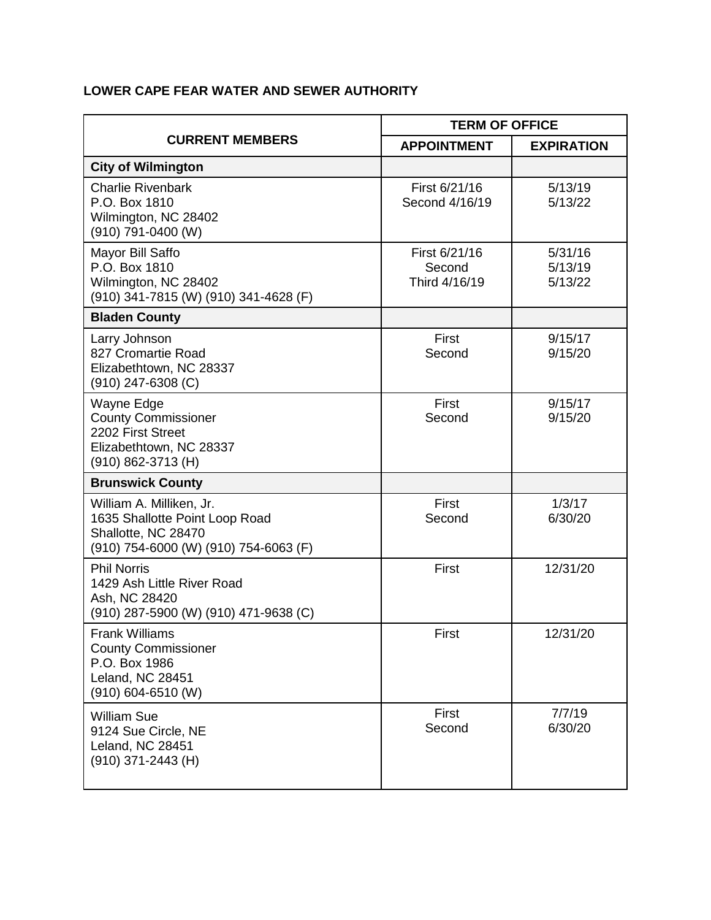## **LOWER CAPE FEAR WATER AND SEWER AUTHORITY**

| <b>CURRENT MEMBERS</b>                                                                                                     | <b>TERM OF OFFICE</b>                    |                               |
|----------------------------------------------------------------------------------------------------------------------------|------------------------------------------|-------------------------------|
|                                                                                                                            | <b>APPOINTMENT</b>                       | <b>EXPIRATION</b>             |
| <b>City of Wilmington</b>                                                                                                  |                                          |                               |
| <b>Charlie Rivenbark</b><br>P.O. Box 1810<br>Wilmington, NC 28402<br>(910) 791-0400 (W)                                    | First 6/21/16<br>Second 4/16/19          | 5/13/19<br>5/13/22            |
| Mayor Bill Saffo<br>P.O. Box 1810<br>Wilmington, NC 28402<br>(910) 341-7815 (W) (910) 341-4628 (F)                         | First 6/21/16<br>Second<br>Third 4/16/19 | 5/31/16<br>5/13/19<br>5/13/22 |
| <b>Bladen County</b>                                                                                                       |                                          |                               |
| Larry Johnson<br>827 Cromartie Road<br>Elizabethtown, NC 28337<br>$(910)$ 247-6308 (C)                                     | First<br>Second                          | 9/15/17<br>9/15/20            |
| Wayne Edge<br><b>County Commissioner</b><br>2202 First Street<br>Elizabethtown, NC 28337<br>(910) 862-3713 (H)             | First<br>Second                          | 9/15/17<br>9/15/20            |
| <b>Brunswick County</b>                                                                                                    |                                          |                               |
| William A. Milliken, Jr.<br>1635 Shallotte Point Loop Road<br>Shallotte, NC 28470<br>(910) 754-6000 (W) (910) 754-6063 (F) | First<br>Second                          | 1/3/17<br>6/30/20             |
| <b>Phil Norris</b><br>1429 Ash Little River Road<br>Ash, NC 28420<br>(910) 287-5900 (W) (910) 471-9638 (C)                 | First                                    | 12/31/20                      |
| <b>Frank Williams</b><br><b>County Commissioner</b><br>P.O. Box 1986<br>Leland, NC 28451<br>(910) 604-6510 (W)             | First                                    | 12/31/20                      |
| <b>William Sue</b><br>9124 Sue Circle, NE<br>Leland, NC 28451<br>(910) 371-2443 (H)                                        | First<br>Second                          | 7/7/19<br>6/30/20             |